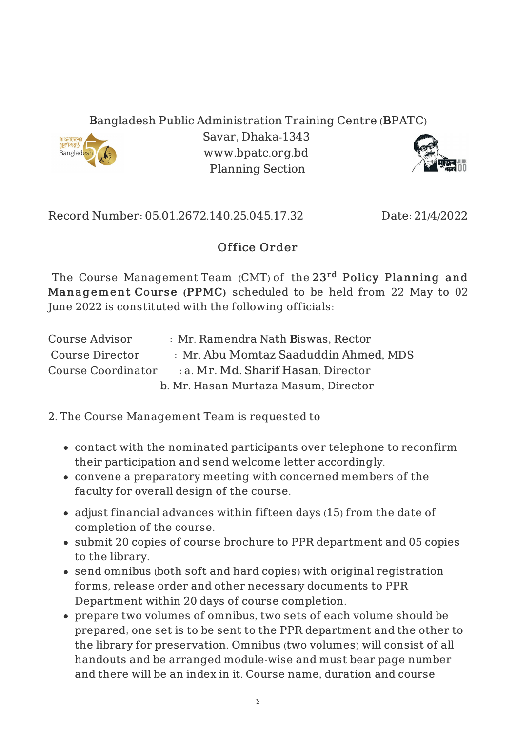## Bangladesh Public Administration Training Centre (BPATC)



Savar, Dhaka-1343 www.bpatc.org.bd Planning Section



Record Number: 05.01.2672.140.25.045.17.32 Date: 21/4/2022

## Office Order

The Course ManagementTeam (CMT) of the 23<sup>rd</sup> Policy Planning and Management Course (PPMC) scheduled to be held from 22 May to 02 June 2022 is constituted with the following officials:

| Course Advisor     | : Mr. Ramendra Nath Biswas, Rector    |
|--------------------|---------------------------------------|
| Course Director    | : Mr. Abu Momtaz Saaduddin Ahmed, MDS |
| Course Coordinator | a. Mr. Md. Sharif Hasan, Director     |
|                    | b. Mr. Hasan Murtaza Masum, Director  |

2. The Course Management Team is requested to

- contact with the nominated participants over telephone to reconfirm their participation and send welcome letter accordingly.
- convene a preparatory meeting with concerned members of the faculty for overall design of the course.
- adjust financial advances within fifteen days (15) from the date of completion of the course.
- submit 20 copies of course brochure to PPR department and 05 copies to the library.
- send omnibus (both soft and hard copies) with original registration forms, release order and other necessary documents to PPR Department within 20 days of course completion.
- prepare two volumes of omnibus, two sets of each volume should be prepared; one set is to be sent to the PPR department and the other to the library for preservation. Omnibus (two volumes) will consist of all handouts and be arranged module-wise and must bear page number and there will be an index in it. Course name, duration and course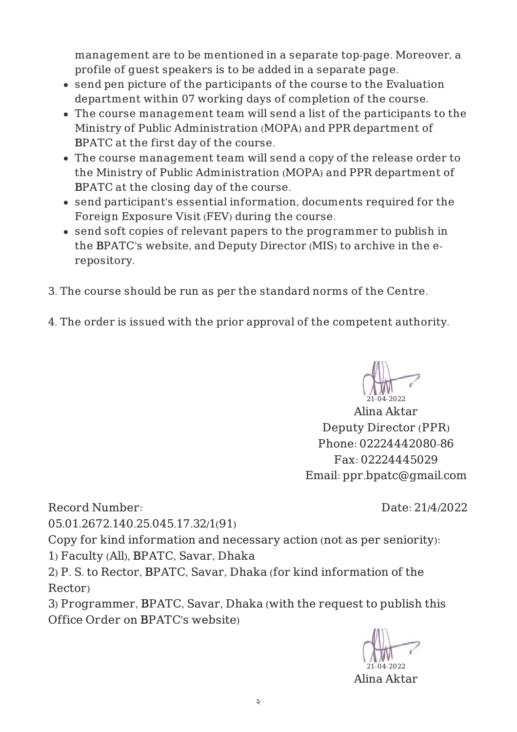management are to be mentioned in a separate top-page. Moreover, a profile of guest speakers is to be added in a separate page.

- send pen picture of the participants of the course to the Evaluation department within 07 working days of completion of the course.
- The course management team will send a list of the participants to the Ministry of Public Administration (MOPA) and PPR department of BPATC at the first day of the course.
- The course management team will send a copy of the release order to the Ministry of Public Administration (MOPA) and PPR department of BPATC at the closing day of the course.
- send participant's essential information, documents required for the Foreign Exposure Visit (FEV) during the course.
- send soft copies of relevant papers to the programmer to publish in the BPATC's website, and Deputy Director (MIS) to archive in the erepository.
- 3. The course should be run as per the standard norms of the Centre.
- 4. The order is issued with the prior approval of the competent authority.

21-04-2022

Alina Aktar Deputy Director (PPR) Phone: 02224442080-86 Fax: 02224445029 Email: ppr.bpatc@gmail.com

Record Number:

Date: 21/4/2022

05.01.2672.140.25.045.17.32/1(91)

Copy for kind information and necessary action (not as per seniority):

1) Faculty (All), BPATC, Savar, Dhaka

2) P. S. to Rector, BPATC, Savar, Dhaka (for kind information of the Rector)

3) Programmer, BPATC, Savar, Dhaka (with the request to publish this Office Order on BPATC's website)

21-04-2022

Alina Aktar